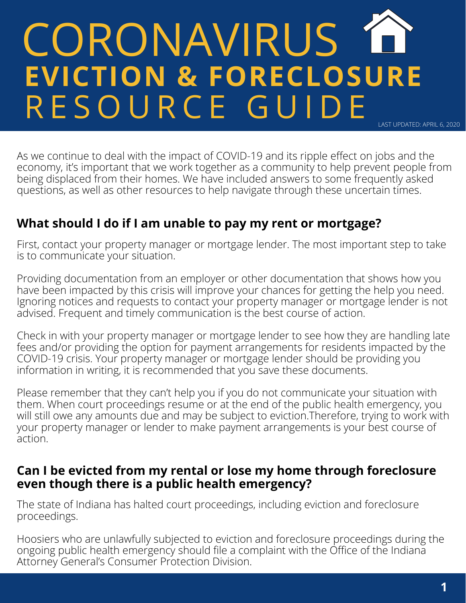# CORONAVIRUS 1 **EVICTION & FORECLOSURE** R E S O U R C E G U I D E LAST UPDATED: APRIL 6, 2020

As we continue to deal with the impact of COVID-19 and its ripple effect on jobs and the economy, it's important that we work together as a community to help prevent people from being displaced from their homes. We have included answers to some frequently asked questions, as well as other resources to help navigate through these uncertain times.

# **What should I do if I am unable to pay my rent or mortgage?**

First, contact your property manager or mortgage lender. The most important step to take is to communicate your situation.

Providing documentation from an employer or other documentation that shows how you have been impacted by this crisis will improve your chances for getting the help you need. Ignoring notices and requests to contact your property manager or mortgage lender is not advised. Frequent and timely communication is the best course of action.

Check in with your property manager or mortgage lender to see how they are handling late fees and/or providing the option for payment arrangements for residents impacted by the COVID-19 crisis. Your property manager or mortgage lender should be providing you information in writing, it is recommended that you save these documents.

Please remember that they can't help you if you do not communicate your situation with them. When court proceedings resume or at the end of the public health emergency, you will still owe any amounts due and may be subject to eviction. Therefore, trying to work with your property manager or lender to make payment arrangements is your best course of action.

#### **Can I be evicted from my rental or lose my home through foreclosure even though there is a public health emergency?**

The state of Indiana has halted court proceedings, including eviction and foreclosure proceedings.

Hoosiers who are unlawfully subjected to eviction and foreclosure proceedings during the ongoing public health emergency should file a complaint with the Office of the Indiana Attorney General's Consumer Protection Division.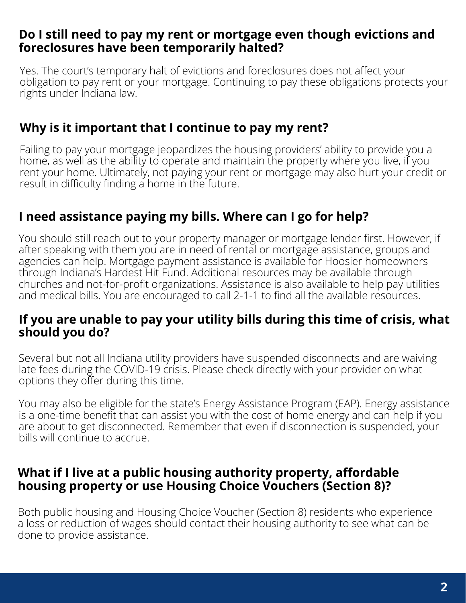#### **Do I still need to pay my rent or mortgage even though evictions and foreclosures have been temporarily halted?**

Yes. The court's temporary halt of evictions and foreclosures does not affect your obligation to pay rent or your mortgage. Continuing to pay these obligations protects your rights under Indiana law.

## **Why is it important that I continue to pay my rent?**

Failing to pay your mortgage jeopardizes the housing providers' ability to provide you a home, as well as the ability to operate and maintain the property where you live, if you rent your home. Ultimately, not paying your rent or mortgage may also hurt your credit or result in difficulty finding a home in the future.

## **I need assistance paying my bills. Where can I go for help?**

You should still reach out to your property manager or mortgage lender first. However, if after speaking with them you are in need of rental or mortgage assistance, groups and agencies can help. Mortgage payment assistance is available for Hoosier homeowners through Indiana's Hardest Hit Fund. Additional resources may be available through churches and not-for-profit organizations. Assistance is also available to help pay utilities and medical bills. You are encouraged to call 2-1-1 to find all the available resources.

#### **If you are unable to pay your utility bills during this time of crisis, what should you do?**

Several but not all Indiana utility providers have suspended disconnects and are waiving late fees during the COVID-19 crisis. Please check directly with your provider on what options they offer during this time.

You may also be eligible for the state's Energy Assistance Program (EAP). Energy assistance is a one-time benefit that can assist you with the cost of home energy and can help if you are about to get disconnected. Remember that even if disconnection is suspended, your bills will continue to accrue.

#### **What if I live at a public housing authority property, affordable housing property or use Housing Choice Vouchers (Section 8)?**

Both public housing and Housing Choice Voucher (Section 8) residents who experience a loss or reduction of wages should contact their housing authority to see what can be done to provide assistance.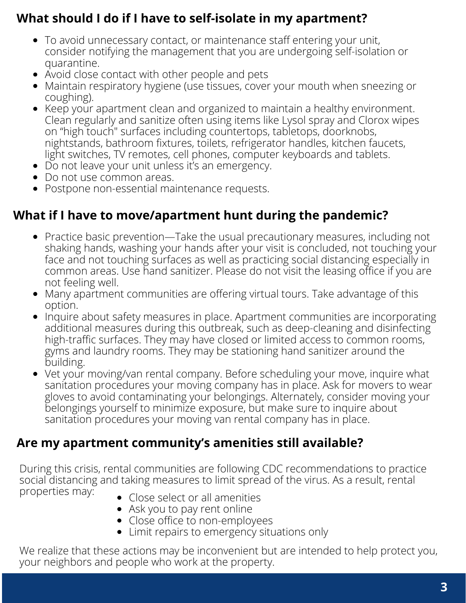# **What should I do if I have to self-isolate in my apartment?**

- To avoid unnecessary contact, or maintenance staff entering your unit, consider notifying the management that you are undergoing self-isolation or quarantine.
- Avoid close contact with other people and pets
- Maintain respiratory hygiene (use tissues, cover your mouth when sneezing or coughing).
- Keep your apartment clean and organized to maintain a healthy environment. Clean regularly and sanitize often using items like Lysol spray and Clorox wipes on "high touch" surfaces including countertops, tabletops, doorknobs, nightstands, bathroom fixtures, toilets, refrigerator handles, kitchen faucets, light switches, TV remotes, cell phones, computer keyboards and tablets.
- Do not leave your unit unless it's an emergency.
- Do not use common areas.
- Postpone non-essential maintenance requests.

# **What if I have to move/apartment hunt during the pandemic?**

- Practice basic prevention—Take the usual precautionary measures, including not shaking hands, washing your hands after your visit is concluded, not touching your face and not touching surfaces as well as practicing social distancing especially in common areas. Use hand sanitizer. Please do not visit the leasing office if you are not feeling well.
- Many apartment communities are offering virtual tours. Take advantage of this option.
- Inquire about safety measures in place. Apartment communities are incorporating additional measures during this outbreak, such as deep-cleaning and disinfecting high-traffic surfaces. They may have closed or limited access to common rooms, gyms and laundry rooms. They may be stationing hand sanitizer around the building.
- Vet your moving/van rental company. Before scheduling your move, inquire what sanitation procedures your moving company has in place. Ask for movers to wear gloves to avoid contaminating your belongings. Alternately, consider moving your belongings yourself to minimize exposure, but make sure to inquire about sanitation procedures your moving van rental company has in place.

# **Are my apartment community's amenities still available?**

During this crisis, rental communities are following CDC recommendations to practice social distancing and taking measures to limit spread of the virus. As a result, rental properties may: Close select or all amenities

- 
- Ask you to pay rent online
- Close office to non-employees
- Limit repairs to emergency situations only

We realize that these actions may be inconvenient but are intended to help protect you, your neighbors and people who work at the property.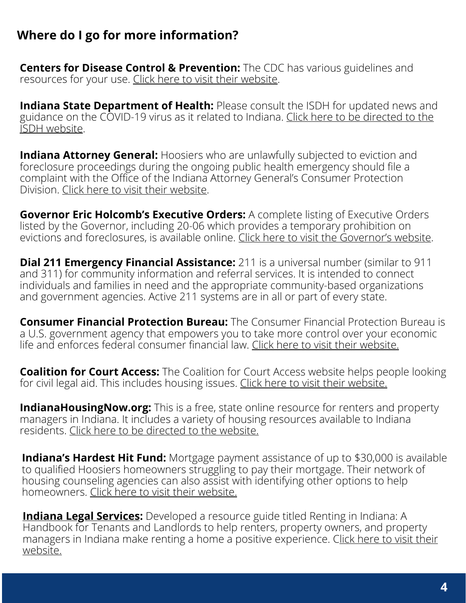## **Where do I go for more information?**

**Centers for Disease Control & Prevention:** The CDC has various guidelines and resources for your use. Click here to visit their [website.](https://www.cdc.gov/coronavirus/2019-ncov/index.html)

**Indiana State Department of Health:** Please consult the ISDH for updated news and guidance on the [COVID-19](https://coronavirus.in.gov/) virus as it related to Indiana. Click here to be directed to the ISDH website.

**Indiana Attorney General:** Hoosiers who are unlawfully subjected to eviction and foreclosure proceedings during the ongoing public health emergency should file a complaint with the Office of the Indiana Attorney General's Consumer Protection Division. Click here to visit their [website.](https://www.in.gov/attorneygeneral/)

**Governor Eric Holcomb's Executive Orders:** A complete listing of Executive Orders listed by the Governor, including 20-06 which provides a temporary prohibition on evictions and foreclosures, is available online. Click here to visit the [Governor's](https://www.in.gov/gov/2384.htm) website.

**Dial 211 Emergency Financial Assistance:** 211 is a universal number (similar to 911 and 311) for community information and referral services. It is intended to connect individuals and families in need and the appropriate community-based organizations and government agencies. Active 211 systems are in all or part of every state.

**Consumer Financial Protection Bureau:** The Consumer Financial Protection Bureau is a U.S. government agency that empowers you to take more control over your economic life and enforces federal consumer financial law. Click here to visit their [website.](https://urldefense.proofpoint.com/v2/url?u=https-3A__www.consumerfinance.gov_&d=DwMFAg&c=euGZstcaTDllvimEN8b7jXrwqOf-v5A_CdpgnVfiiMM&r=ezuVjH8_Om1foLsd6-Y5Op24SnXE6ICvhIs4iy6tFcE&m=roVWMzbU2Cpf2Wtd_IdefjJPimonfysdha9PdkW1DCU&s=R2fGkM8_Bm4jKsdBa0ZGcATZdgfsJ9710h85CCeUXFU&e=)

**Coalition for Court Access:** The Coalition for Court Access website helps people looking for civil legal aid. This includes housing issues. Click here to visit their [website.](https://urldefense.proofpoint.com/v2/url?u=https-3A__indianalegalhelp.org_&d=DwMFAg&c=euGZstcaTDllvimEN8b7jXrwqOf-v5A_CdpgnVfiiMM&r=ezuVjH8_Om1foLsd6-Y5Op24SnXE6ICvhIs4iy6tFcE&m=roVWMzbU2Cpf2Wtd_IdefjJPimonfysdha9PdkW1DCU&s=et0vfof3wWqVFRQsgIFtmBZ9gJ30F6ys1vh7PBjKFBw&e=)

**IndianaHousingNow.org:** This is a free, state online resource for renters and property managers in Indiana. It includes a variety of housing resources available to Indiana residents. Click here to be [directed](https://urldefense.proofpoint.com/v2/url?u=http-3A__www.indianahousingnow.org_&d=DwMFAg&c=euGZstcaTDllvimEN8b7jXrwqOf-v5A_CdpgnVfiiMM&r=ezuVjH8_Om1foLsd6-Y5Op24SnXE6ICvhIs4iy6tFcE&m=ZAX-Wq-XcV3I4wUK36Jlu7F4YQo3xFLrTrfTGgJ5Tck&s=zOJv08foNzWnVX_OZD3Q1A0N1iLzvDbbp8UINFNqLAw&e=) to the website.

**Indiana's Hardest Hit Fund:** Mortgage payment assistance of up to \$30,000 is available to qualified Hoosiers homeowners struggling to pay their mortgage. Their network of housing counseling agencies can also assist with identifying other options to help homeowners. Click here to visit their [website.](https://urldefense.proofpoint.com/v2/url?u=https-3A__www.877gethope.org_&d=DwMFAg&c=euGZstcaTDllvimEN8b7jXrwqOf-v5A_CdpgnVfiiMM&r=ezuVjH8_Om1foLsd6-Y5Op24SnXE6ICvhIs4iy6tFcE&m=TxNqI6_1m-669ftEq34WZ9uuWiyZM6pCmetIhroXkPk&s=WqJnzda1cU-u1zCYe8b5TgYRAof0tmFwZUXrKsw2-qA&e=)

**Indiana Legal Services:** Developed a resource guide titled Renting in Indiana: A Handbook for Tenants and Landlords to help renters, property owners, and property managers in Indiana make renting a home a positive [experience.](https://urldefense.proofpoint.com/v2/url?u=https-3A__www.indianalegalservices.org_inrentinghandbook&d=DwMGaQ&c=euGZstcaTDllvimEN8b7jXrwqOf-v5A_CdpgnVfiiMM&r=ezuVjH8_Om1foLsd6-Y5Op24SnXE6ICvhIs4iy6tFcE&m=CSi-votesGsxC-YRdxafjFpBVtmiRr5XQBGUjrwRVcY&s=fdi8p5poaoVSEukoEkZU7swWEI9yFIWItBSPYwnh3-4&e=) Click here to visit their website.